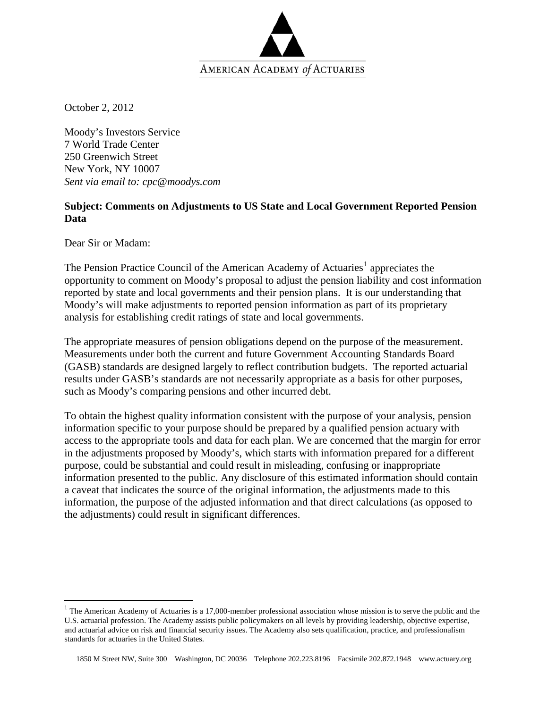

October 2, 2012

Moody's Investors Service 7 World Trade Center 250 Greenwich Street New York, NY 10007 *Sent via email to: cpc@moodys.com*

## **Subject: Comments on Adjustments to US State and Local Government Reported Pension Data**

Dear Sir or Madam:

The Pension Practice Council of the American Academy of Actuaries<sup>[1](#page-0-0)</sup> appreciates the opportunity to comment on Moody's proposal to adjust the pension liability and cost information reported by state and local governments and their pension plans. It is our understanding that Moody's will make adjustments to reported pension information as part of its proprietary analysis for establishing credit ratings of state and local governments.

The appropriate measures of pension obligations depend on the purpose of the measurement. Measurements under both the current and future Government Accounting Standards Board (GASB) standards are designed largely to reflect contribution budgets. The reported actuarial results under GASB's standards are not necessarily appropriate as a basis for other purposes, such as Moody's comparing pensions and other incurred debt.

To obtain the highest quality information consistent with the purpose of your analysis, pension information specific to your purpose should be prepared by a qualified pension actuary with access to the appropriate tools and data for each plan. We are concerned that the margin for error in the adjustments proposed by Moody's, which starts with information prepared for a different purpose, could be substantial and could result in misleading, confusing or inappropriate information presented to the public. Any disclosure of this estimated information should contain a caveat that indicates the source of the original information, the adjustments made to this information, the purpose of the adjusted information and that direct calculations (as opposed to the adjustments) could result in significant differences.

<span id="page-0-0"></span> $1$  The American Academy of Actuaries is a 17,000-member professional association whose mission is to serve the public and the U.S. actuarial profession. The Academy assists public policymakers on all levels by providing leadership, objective expertise, and actuarial advice on risk and financial security issues. The Academy also sets qualification, practice, and professionalism standards for actuaries in the United States.